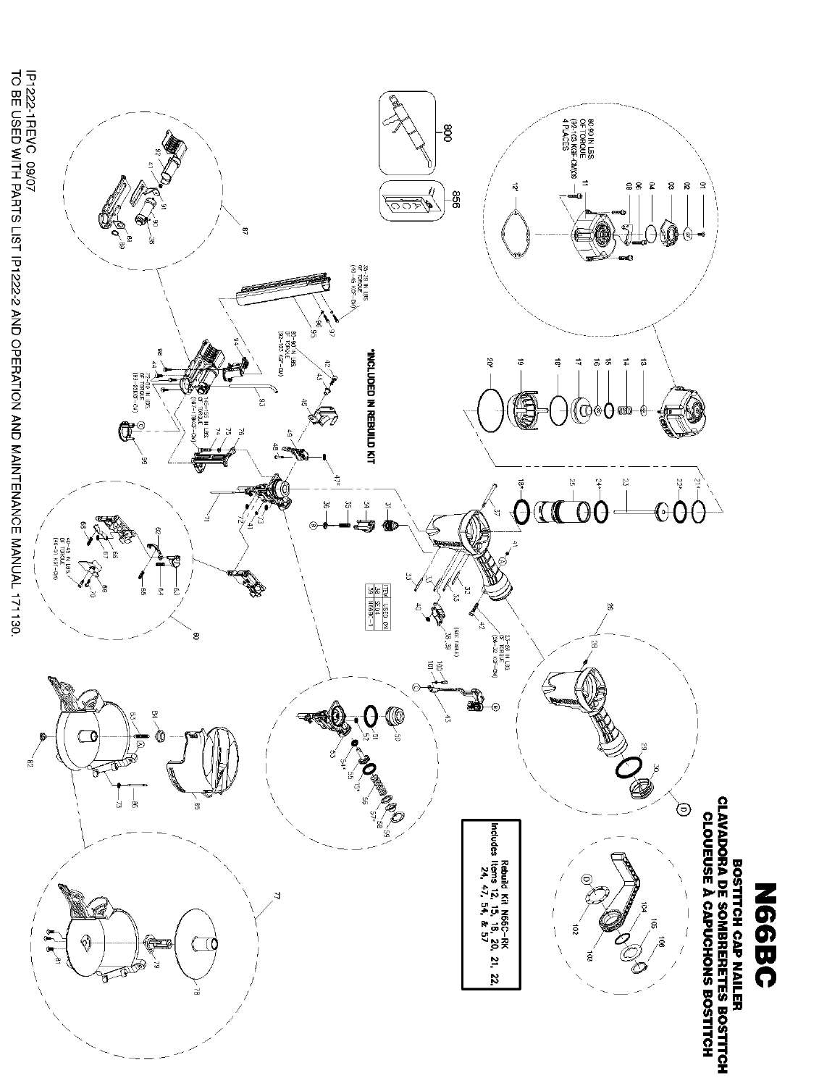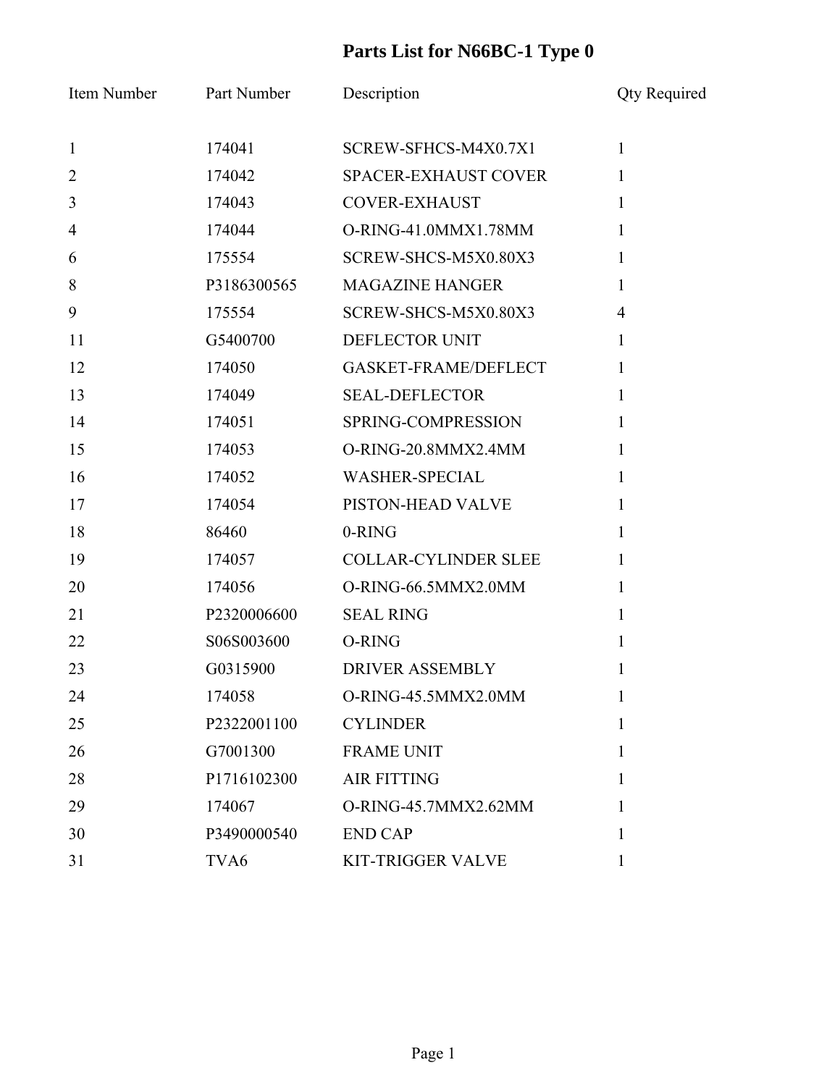| Item Number    | Part Number      | Description                 | <b>Qty Required</b> |
|----------------|------------------|-----------------------------|---------------------|
| $\mathbf{1}$   | 174041           | SCREW-SFHCS-M4X0.7X1        | $\mathbf{1}$        |
| $\overline{2}$ | 174042           | SPACER-EXHAUST COVER        | 1                   |
| $\overline{3}$ | 174043           | <b>COVER-EXHAUST</b>        | $\mathbf{1}$        |
| $\overline{4}$ | 174044           | O-RING-41.0MMX1.78MM        | $\mathbf{1}$        |
| 6              | 175554           | SCREW-SHCS-M5X0.80X3        | $\mathbf{1}$        |
| 8              | P3186300565      | <b>MAGAZINE HANGER</b>      | $\mathbf{1}$        |
| 9              | 175554           | SCREW-SHCS-M5X0.80X3        | $\overline{4}$      |
| 11             | G5400700         | DEFLECTOR UNIT              | $\mathbf{1}$        |
| 12             | 174050           | GASKET-FRAME/DEFLECT        | $\mathbf{1}$        |
| 13             | 174049           | <b>SEAL-DEFLECTOR</b>       | $\mathbf{1}$        |
| 14             | 174051           | SPRING-COMPRESSION          | $\mathbf{1}$        |
| 15             | 174053           | O-RING-20.8MMX2.4MM         | $\mathbf{1}$        |
| 16             | 174052           | <b>WASHER-SPECIAL</b>       | $\mathbf{1}$        |
| 17             | 174054           | PISTON-HEAD VALVE           | $\mathbf{1}$        |
| 18             | 86460            | 0-RING                      | $\mathbf{1}$        |
| 19             | 174057           | <b>COLLAR-CYLINDER SLEE</b> | $\mathbf{1}$        |
| 20             | 174056           | O-RING-66.5MMX2.0MM         | $\mathbf{1}$        |
| 21             | P2320006600      | <b>SEAL RING</b>            | $\mathbf{1}$        |
| 22             | S06S003600       | O-RING                      | $\mathbf{1}$        |
| 23             | G0315900         | <b>DRIVER ASSEMBLY</b>      | 1                   |
| 24             | 174058           | O-RING-45.5MMX2.0MM         | $\mathbf{I}$        |
| 25             | P2322001100      | <b>CYLINDER</b>             | $\mathbf{1}$        |
| 26             | G7001300         | <b>FRAME UNIT</b>           | 1                   |
| 28             | P1716102300      | <b>AIR FITTING</b>          | 1                   |
| 29             | 174067           | O-RING-45.7MMX2.62MM        | 1                   |
| 30             | P3490000540      | <b>END CAP</b>              | 1                   |
| 31             | TVA <sub>6</sub> | <b>KIT-TRIGGER VALVE</b>    | 1                   |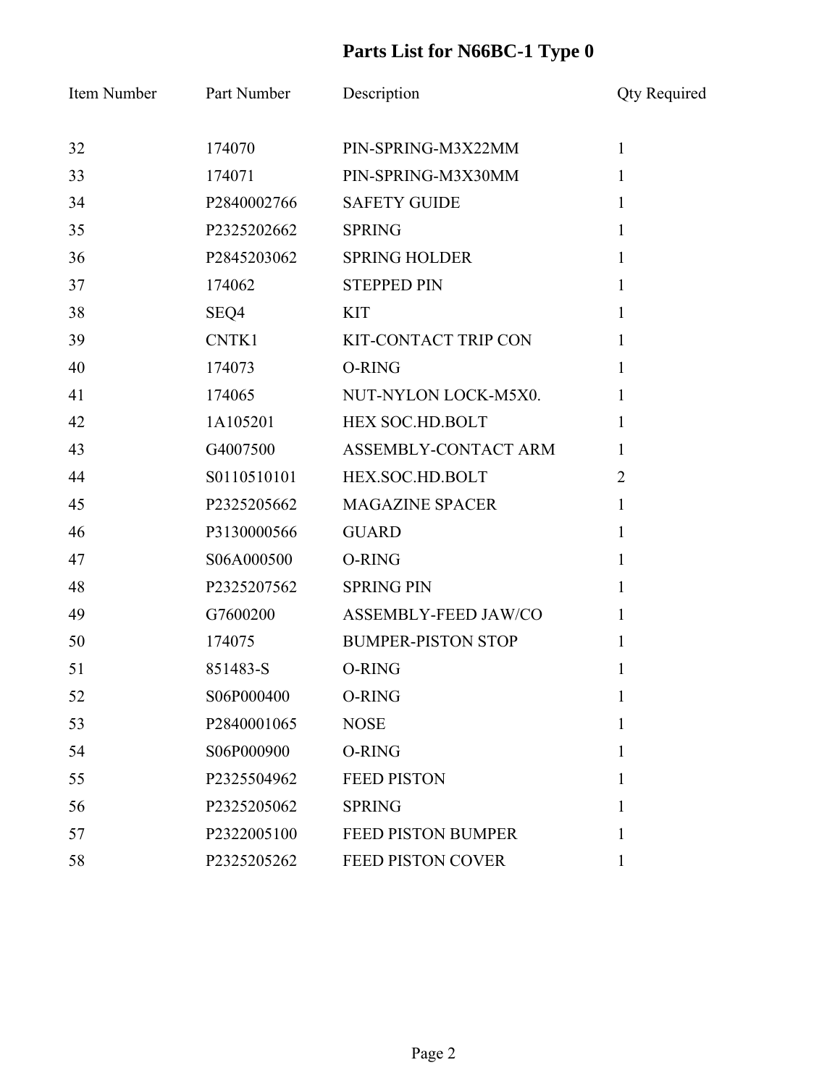| Item Number | Part Number | Description               | <b>Qty Required</b> |
|-------------|-------------|---------------------------|---------------------|
| 32          | 174070      | PIN-SPRING-M3X22MM        | $\mathbf{1}$        |
| 33          | 174071      | PIN-SPRING-M3X30MM        | $\mathbf{1}$        |
| 34          | P2840002766 | <b>SAFETY GUIDE</b>       | $\mathbf{1}$        |
| 35          | P2325202662 | <b>SPRING</b>             | $\mathbf{1}$        |
| 36          | P2845203062 | <b>SPRING HOLDER</b>      | $\mathbf{1}$        |
| 37          | 174062      | <b>STEPPED PIN</b>        | $\mathbf{1}$        |
| 38          | SEQ4        | <b>KIT</b>                | $\mathbf{1}$        |
| 39          | CNTK1       | KIT-CONTACT TRIP CON      | $\mathbf{1}$        |
| 40          | 174073      | O-RING                    | $\mathbf{1}$        |
| 41          | 174065      | NUT-NYLON LOCK-M5X0.      | $\mathbf{1}$        |
| 42          | 1A105201    | HEX SOC.HD.BOLT           | $\mathbf{1}$        |
| 43          | G4007500    | ASSEMBLY-CONTACT ARM      | 1                   |
| 44          | S0110510101 | HEX.SOC.HD.BOLT           | $\overline{2}$      |
| 45          | P2325205662 | <b>MAGAZINE SPACER</b>    | $\mathbf{1}$        |
| 46          | P3130000566 | <b>GUARD</b>              | $\mathbf{1}$        |
| 47          | S06A000500  | O-RING                    | $\mathbf{1}$        |
| 48          | P2325207562 | <b>SPRING PIN</b>         | $\mathbf{1}$        |
| 49          | G7600200    | ASSEMBLY-FEED JAW/CO      | $\mathbf{1}$        |
| 50          | 174075      | <b>BUMPER-PISTON STOP</b> | $\mathbf{1}$        |
| 51          | 851483-S    | O-RING                    | 1                   |
| 52          | S06P000400  | O-RING                    | $\mathbf{I}$        |
| 53          | P2840001065 | <b>NOSE</b>               | 1                   |
| 54          | S06P000900  | O-RING                    | 1                   |
| 55          | P2325504962 | <b>FEED PISTON</b>        | 1                   |
| 56          | P2325205062 | <b>SPRING</b>             | 1                   |
| 57          | P2322005100 | <b>FEED PISTON BUMPER</b> | 1                   |
| 58          | P2325205262 | <b>FEED PISTON COVER</b>  | 1                   |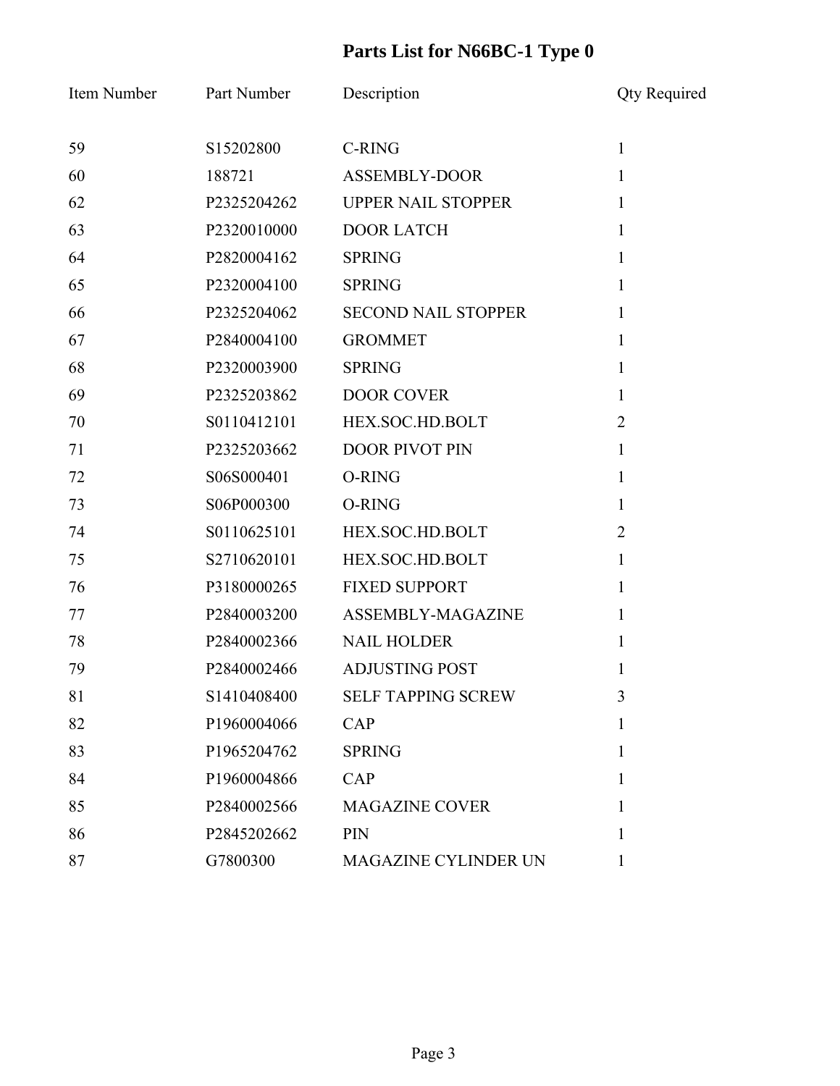| Item Number | Part Number | Description                 | <b>Qty Required</b> |
|-------------|-------------|-----------------------------|---------------------|
| 59          | S15202800   | <b>C-RING</b>               | $\mathbf{1}$        |
| 60          | 188721      | <b>ASSEMBLY-DOOR</b>        | $\mathbf{1}$        |
| 62          | P2325204262 | <b>UPPER NAIL STOPPER</b>   | $\mathbf{1}$        |
| 63          | P2320010000 | <b>DOOR LATCH</b>           | $\mathbf{1}$        |
| 64          | P2820004162 | <b>SPRING</b>               | $\mathbf{1}$        |
| 65          | P2320004100 | <b>SPRING</b>               | $\mathbf{1}$        |
| 66          | P2325204062 | <b>SECOND NAIL STOPPER</b>  | $\mathbf{1}$        |
| 67          | P2840004100 | <b>GROMMET</b>              | $\mathbf{1}$        |
| 68          | P2320003900 | <b>SPRING</b>               | $\mathbf{1}$        |
| 69          | P2325203862 | <b>DOOR COVER</b>           | $\mathbf{1}$        |
| 70          | S0110412101 | HEX.SOC.HD.BOLT             | $\overline{2}$      |
| 71          | P2325203662 | <b>DOOR PIVOT PIN</b>       | $\mathbf{1}$        |
| 72          | S06S000401  | O-RING                      | $\mathbf{1}$        |
| 73          | S06P000300  | O-RING                      | $\mathbf{1}$        |
| 74          | S0110625101 | HEX.SOC.HD.BOLT             | $\overline{2}$      |
| 75          | S2710620101 | HEX.SOC.HD.BOLT             | $\mathbf{1}$        |
| 76          | P3180000265 | <b>FIXED SUPPORT</b>        | $\mathbf{1}$        |
| 77          | P2840003200 | ASSEMBLY-MAGAZINE           | $\mathbf{1}$        |
| 78          | P2840002366 | <b>NAIL HOLDER</b>          | $\mathbf{1}$        |
| 79          | P2840002466 | <b>ADJUSTING POST</b>       | 1                   |
| 81          | S1410408400 | <b>SELF TAPPING SCREW</b>   | 3                   |
| 82          | P1960004066 | <b>CAP</b>                  | 1                   |
| 83          | P1965204762 | <b>SPRING</b>               | 1                   |
| 84          | P1960004866 | CAP                         | 1                   |
| 85          | P2840002566 | <b>MAGAZINE COVER</b>       | 1                   |
| 86          | P2845202662 | PIN                         | 1                   |
| 87          | G7800300    | <b>MAGAZINE CYLINDER UN</b> | 1                   |